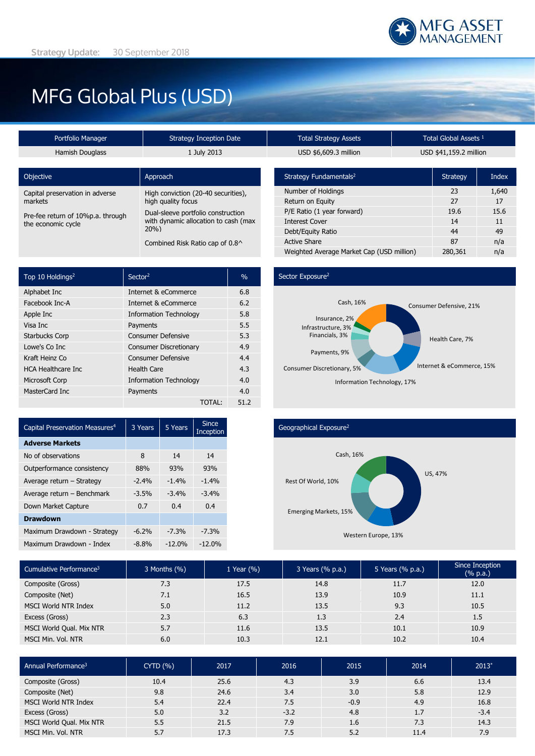# MFG Global Plus (USD)

|                 | Portfolio Manager                 | <b>Strategy Inception Date</b>       | <b>Total Strategy Assets</b>       |  | Total Global Assets <sup>1</sup> |  |
|-----------------|-----------------------------------|--------------------------------------|------------------------------------|--|----------------------------------|--|
| Hamish Douglass |                                   | 1 July 2013                          | USD \$6,609.3 million              |  | USD \$41,159.2 million           |  |
|                 | Objective                         | Approach                             | Strategy Fundamentals <sup>2</sup> |  | <b>Strategy</b>                  |  |
|                 | Capital preservation in adverse   | High conviction (20-40 securities),  | Number of Holdings                 |  | 23                               |  |
|                 | markets                           | high quality focus                   | Return on Equity                   |  | 27                               |  |
|                 | Pre-fee return of 10%p.a. through | Dual-sleeve portfolio construction   | P/E Ratio (1 year forward)         |  | 19.6                             |  |
|                 | the economic cycle                | with dynamic allocation to cash (max | Interest Cover                     |  | 14                               |  |
|                 |                                   | 20%                                  | Debt/Equity Ratio                  |  | 44                               |  |
|                 |                                   | Combined Risk Ratio cap of 0.8^      | <b>Active Share</b>                |  | 87                               |  |
|                 |                                   |                                      |                                    |  |                                  |  |

| Top 10 Holdings <sup>2</sup> | Sector <sup>2</sup>           | $\frac{0}{0}$ |
|------------------------------|-------------------------------|---------------|
| Alphabet Inc                 | Internet & eCommerce          | 6.8           |
| Facebook Inc-A               | Internet & eCommerce          | 6.2           |
| Apple Inc                    | <b>Information Technology</b> | 5.8           |
| Visa Inc                     | Payments                      | 5.5           |
| <b>Starbucks Corp</b>        | <b>Consumer Defensive</b>     | 5.3           |
| Lowe's Co Inc                | <b>Consumer Discretionary</b> | 4.9           |
| Kraft Heinz Co               | <b>Consumer Defensive</b>     | 4.4           |
| <b>HCA Healthcare Inc.</b>   | <b>Health Care</b>            | 4.3           |
| Microsoft Corp               | <b>Information Technology</b> | 4.0           |
| MasterCard Inc               | Payments                      | 4.0           |
|                              | TOTAL:                        | 51.2          |

| <b>Total Strategy Assets</b> | Total Global Assets <sup>1</sup> |
|------------------------------|----------------------------------|
| USD \$6,609.3 million        | USD \$41,159.2 million           |

| Strategy Fundamentals <sup>2</sup>        | <b>Strategy</b> | Index |
|-------------------------------------------|-----------------|-------|
| Number of Holdings                        | 23              | 1,640 |
| Return on Equity                          | 27              | 17    |
| P/E Ratio (1 year forward)                | 19.6            | 15.6  |
| <b>Interest Cover</b>                     | 14              | 11    |
| Debt/Equity Ratio                         | 44              | 49    |
| <b>Active Share</b>                       | 87              | n/a   |
| Weighted Average Market Cap (USD million) | 280,361         | n/a   |

### Sector Exposure<sup>2</sup>



| Capital Preservation Measures <sup>4</sup> | 3 Years | 5 Years  | <b>Since</b><br>Inception |
|--------------------------------------------|---------|----------|---------------------------|
| <b>Adverse Markets</b>                     |         |          |                           |
| No of observations                         | 8       | 14       | 14                        |
| Outperformance consistency                 | 88%     | 93%      | 93%                       |
| Average return - Strategy                  | $-2.4%$ | $-1.4%$  | $-1.4%$                   |
| Average return - Benchmark                 | $-3.5%$ | $-3.4%$  | $-3.4%$                   |
| Down Market Capture                        | 0.7     | 0.4      | 0.4                       |
| <b>Drawdown</b>                            |         |          |                           |
| Maximum Drawdown - Strategy                | $-6.2%$ | $-7.3%$  | $-7.3%$                   |
| Maximum Drawdown - Index                   | $-8.8%$ | $-12.0%$ | $-12.0%$                  |

## Geographical Exposure<sup>2</sup>



| Cumulative Performance <sup>3</sup> | $3$ Months $(\%)$ | 1 Year $(\% )$ | 3 Years (% p.a.) | 5 Years (% p.a.) | Since Inception<br>$(% \mathbb{R}^2)$ (% p.a.) |
|-------------------------------------|-------------------|----------------|------------------|------------------|------------------------------------------------|
| Composite (Gross)                   | 7.3               | 17.5           | 14.8             | 11.7             | 12.0                                           |
| Composite (Net)                     | 7.1               | 16.5           | 13.9             | 10.9             | 11.1                                           |
| <b>MSCI World NTR Index</b>         | 5.0               | 11.2           | 13.5             | 9.3              | 10.5                                           |
| Excess (Gross)                      | 2.3               | 6.3            | 1.3              | 2.4              | 1.5                                            |
| MSCI World Qual. Mix NTR            | 5.7               | 11.6           | 13.5             | 10.1             | 10.9                                           |
| MSCI Min. Vol. NTR                  | 6.0               | 10.3           | 12.1             | 10.2             | 10.4                                           |

| Annual Performance <sup>3</sup> | CYTD(%) | 2017 | 2016   | 2015   | 2014 | $2013*$ |
|---------------------------------|---------|------|--------|--------|------|---------|
| Composite (Gross)               | 10.4    | 25.6 | 4.3    | 3.9    | 6.6  | 13.4    |
| Composite (Net)                 | 9.8     | 24.6 | 3.4    | 3.0    | 5.8  | 12.9    |
| <b>MSCI World NTR Index</b>     | 5.4     | 22.4 | 7.5    | $-0.9$ | 4.9  | 16.8    |
| Excess (Gross)                  | 5.0     | 3.2  | $-3.2$ | 4.8    | 1.7  | $-3.4$  |
| MSCI World Qual. Mix NTR        | 5.5     | 21.5 | 7.9    | 1.6    | 7.3  | 14.3    |
| MSCI Min. Vol. NTR              | 5.7     | 17.3 | 7.5    | 5.2    | 11.4 | 7.9     |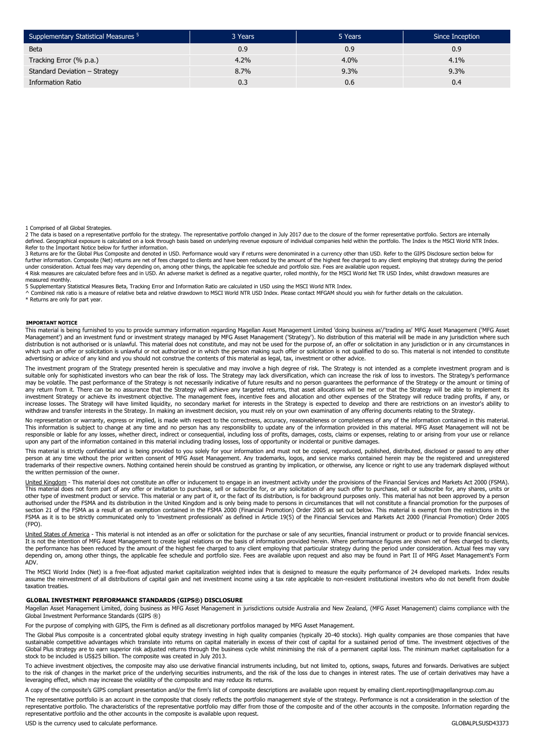| Supplementary Statistical Measures <sup>5</sup> | 3 Years | 5 Years | Since Inception |
|-------------------------------------------------|---------|---------|-----------------|
| <b>Beta</b>                                     | 0.9     | 0.9     | 0.9             |
| Tracking Error (% p.a.)                         | 4.2%    | 4.0%    | 4.1%            |
| Standard Deviation - Strategy                   | 8.7%    | 9.3%    | 9.3%            |
| <b>Information Ratio</b>                        | 0.3     | 0.6     | 0.4             |

1 Comprised of all Global Strategies.

2 The data is based on a representative portfolio for the strategy. The representative portfolio changed in July 2017 due to the closure of the former representative portfolio. Sectors are internally defined. Geographical exposure is calculated on a look through basis based on underlying revenue exposure of individual companies held within the portfolio. The Index is the MSCI World NTR Index. Refer to the Important Notice below for further information.

3 Returns are for the Global Plus Composite and denoted in USD. Performance would vary if returns were denominated in a currency other than USD. Refer to the GIPS Disclosure section below for further information. Composite (Net) returns are net of fees charged to clients and have been reduced by the amount of the highest fee charged to any client employing that strategy during the period under consideration. Actual fees may vary depending on, among other things, the applicable fee schedule and portfolio size. Fees are available upon request.<br>4 Risk measures are calculated before fees and in USD. An adverse measured monthly.

5 Supplementary Statistical Measures Beta, Tracking Error and Information Ratio are calculated in USD using the MSCI World NTR Index.<br>^ Combined risk ratio is a measure of relative beta and relative drawdown to MSCI World

\* Returns are only for part year.

#### **IMPORTANT NOTICE**

This material is being furnished to you to provide summary information regarding Magellan Asset Management Limited 'doing business as'/'trading as' MFG Asset Management ('MFG Asset Management') and an investment fund or investment strategy managed by MFG Asset Management ('Strategy'). No distribution of this material will be made in any jurisdiction where such distribution is not authorised or is unlawful. This material does not constitute, and may not be used for the purpose of, an offer or solicitation in any jurisdiction or in any circumstances in which such an offer or solicitation is unlawful or not authorized or in which the person making such offer or solicitation is not qualified to do so. This material is not intended to constitute advertising or advice of any kind and you should not construe the contents of this material as legal, tax, investment or other advice.

The investment program of the Strategy presented herein is speculative and may involve a high degree of risk. The Strategy is not intended as a complete investment program and is suitable only for sophisticated investors who can bear the risk of loss. The Strategy may lack diversification, which can increase the risk of loss to investors. The Strategy's performance may be volatile. The past performance of the Strategy is not necessarily indicative of future results and no person guarantees the performance of the Strategy or the amount or timing of any return from it. There can be no assurance that the Strategy will achieve any targeted returns, that asset allocations will be met or that the Strategy will be able to implement its<br>investment Strategy or achieve its in increase losses. The Strategy will have limited liquidity, no secondary market for interests in the Strategy is expected to develop and there are restrictions on an investor's ability to withdraw and transfer interests in the Strategy. In making an investment decision, you must rely on your own examination of any offering documents relating to the Strategy.

No representation or warranty, express or implied, is made with respect to the correctness, accuracy, reasonableness or completeness of any of the information contained in this material. This information is subject to change at any time and no person has any responsibility to update any of the information provided in this material. MFG Asset Management will not be responsible or liable for any losses, whether direct, indirect or consequential, including loss of profits, damages, costs, claims or expenses, relating to or arising from your use or reliance upon any part of the information contained in this material including trading losses, loss of opportunity or incidental or punitive damages.

This material is strictly confidential and is being provided to you solely for your information and must not be copied, reproduced, published, distributed, disclosed or passed to any other person at any time without the prior written consent of MFG Asset Management. Any trademarks, logos, and service marks contained herein may be the registered and unregistered trademarks of their respective owners. Nothing contained herein should be construed as granting by implication, or otherwise, any licence or right to use any trademark displayed without the written permission of the owner.

<u>United Kingdom</u> - This material does not constitute an offer or inducement to engage in an investment activity under the provisions of the Financial Services and Markets Act 2000 (FSMA).<br>This material does not form part o other type of investment product or service. This material or any part of it, or the fact of its distribution, is for background purposes only. This material has not been approved by a person authorised under the FSMA and its distribution in the United Kingdom and is only being made to persons in circumstances that will not constitute a financial promotion for the purposes of section 21 of the FSMA as a result of an exemption contained in the FSMA 2000 (Financial Promotion) Order 2005 as set out below. This material is exempt from the restrictions in the FSMA as it is to be strictly communicated only to 'investment professionals' as defined in Article 19(5) of the Financial Services and Markets Act 2000 (Financial Promotion) Order 2005 (FPO).

United States of America - This material is not intended as an offer or solicitation for the purchase or sale of any securities, financial instrument or product or to provide financial services. It is not the intention of MFG Asset Management to create legal relations on the basis of information provided herein. Where performance figures are shown net of fees charged to clients, the performance has been reduced by the amount of the highest fee charged to any client employing that particular strategy during the period under consideration. Actual fees may vary depending on, among other things, the applicable fee schedule and portfolio size. Fees are available upon request and also may be found in Part II of MFG Asset Management's Form ADV.

The MSCI World Index (Net) is a free-float adjusted market capitalization weighted index that is designed to measure the equity performance of 24 developed markets. Index results assume the reinvestment of all distributions of capital gain and net investment income using a tax rate applicable to non-resident institutional investors who do not benefit from double taxation treaties.

#### **GLOBAL INVESTMENT PERFORMANCE STANDARDS (GIPS®) DISCLOSURE**

representative portfolio and the other accounts in the composite is available upon request.

Magellan Asset Management Limited, doing business as MFG Asset Management in jurisdictions outside Australia and New Zealand, (MFG Asset Management) claims compliance with the Global Investment Performance Standards (GIPS ®)

For the purpose of complying with GIPS, the Firm is defined as all discretionary portfolios managed by MFG Asset Management.

The Global Plus composite is a concentrated global equity strategy investing in high quality companies (typically 20-40 stocks). High quality companies are those companies that have sustainable competitive advantages which translate into returns on capital materially in excess of their cost of capital for a sustained period of time. The investment objectives of the Global Plus strategy are to earn superior risk adjusted returns through the business cycle whilst minimising the risk of a permanent capital loss. The minimum market capitalisation for a stock to be included is US\$25 billion. The composite was created in July 2013.

To achieve investment objectives, the composite may also use derivative financial instruments including, but not limited to, options, swaps, futures and forwards. Derivatives are subject<br>to the risk of changes in the marke leveraging effect, which may increase the volatility of the composite and may reduce its returns.

A copy of the composite's GIPS compliant presentation and/or the firm's list of composite descriptions are available upon request by emailing client.reporting@magellangroup.com.au The representative portfolio is an account in the composite that closely reflects the portfolio management style of the strategy. Performance is not a consideration in the selection of the representative portfolio. The characteristics of the representative portfolio may differ from those of the composite and of the other accounts in the composite. Information regarding the

USD is the currency used to calculate performance. CLOBALPLSUSD43373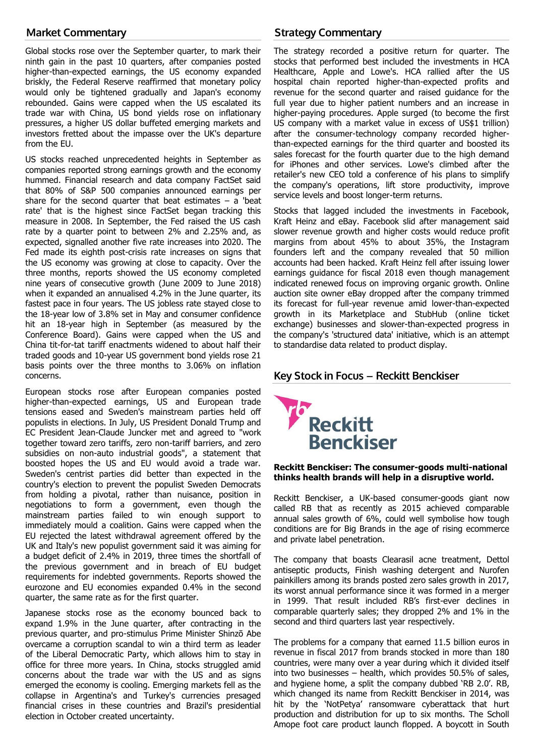# Market Commentary

Global stocks rose over the September quarter, to mark their ninth gain in the past 10 quarters, after companies posted higher-than-expected earnings, the US economy expanded briskly, the Federal Reserve reaffirmed that monetary policy would only be tightened gradually and Japan's economy rebounded. Gains were capped when the US escalated its trade war with China, US bond yields rose on inflationary pressures, a higher US dollar buffeted emerging markets and investors fretted about the impasse over the UK's departure from the EU.

US stocks reached unprecedented heights in September as companies reported strong earnings growth and the economy hummed. Financial research and data company FactSet said that 80% of S&P 500 companies announced earnings per share for the second quarter that beat estimates  $-$  a 'beat rate' that is the highest since FactSet began tracking this measure in 2008. In September, the Fed raised the US cash rate by a quarter point to between 2% and 2.25% and, as expected, signalled another five rate increases into 2020. The Fed made its eighth post-crisis rate increases on signs that the US economy was growing at close to capacity. Over the three months, reports showed the US economy completed nine years of consecutive growth (June 2009 to June 2018) when it expanded an annualised 4.2% in the June quarter, its fastest pace in four years. The US jobless rate stayed close to the 18-year low of 3.8% set in May and consumer confidence hit an 18-year high in September (as measured by the Conference Board). Gains were capped when the US and China tit-for-tat tariff enactments widened to about half their traded goods and 10-year US government bond yields rose 21 basis points over the three months to 3.06% on inflation concerns.

European stocks rose after European companies posted higher-than-expected earnings, US and European trade tensions eased and Sweden's mainstream parties held off populists in elections. In July, US President Donald Trump and EC President Jean-Claude Juncker met and agreed to "work together toward zero tariffs, zero non-tariff barriers, and zero subsidies on non-auto industrial goods", a statement that boosted hopes the US and EU would avoid a trade war. Sweden's centrist parties did better than expected in the country's election to prevent the populist Sweden Democrats from holding a pivotal, rather than nuisance, position in negotiations to form a government, even though the mainstream parties failed to win enough support to immediately mould a coalition. Gains were capped when the EU rejected the latest withdrawal agreement offered by the UK and Italy's new populist government said it was aiming for a budget deficit of 2.4% in 2019, three times the shortfall of the previous government and in breach of EU budget requirements for indebted governments. Reports showed the eurozone and EU economies expanded 0.4% in the second quarter, the same rate as for the first quarter.

Japanese stocks rose as the economy bounced back to expand 1.9% in the June quarter, after contracting in the previous quarter, and pro-stimulus Prime Minister Shinzō Abe overcame a corruption scandal to win a third term as leader of the Liberal Democratic Party, which allows him to stay in office for three more years. In China, stocks struggled amid concerns about the trade war with the US and as signs emerged the economy is cooling. Emerging markets fell as the collapse in Argentina's and Turkey's currencies presaged financial crises in these countries and Brazil's presidential election in October created uncertainty.

# Strategy Commentary

The strategy recorded a positive return for quarter. The stocks that performed best included the investments in HCA Healthcare, Apple and Lowe's. HCA rallied after the US hospital chain reported higher-than-expected profits and revenue for the second quarter and raised guidance for the full year due to higher patient numbers and an increase in higher-paying procedures. Apple surged (to become the first US company with a market value in excess of US\$1 trillion) after the consumer-technology company recorded higherthan-expected earnings for the third quarter and boosted its sales forecast for the fourth quarter due to the high demand for iPhones and other services. Lowe's climbed after the retailer's new CEO told a conference of his plans to simplify the company's operations, lift store productivity, improve service levels and boost longer-term returns.

Stocks that lagged included the investments in Facebook, Kraft Heinz and eBay. Facebook slid after management said slower revenue growth and higher costs would reduce profit margins from about 45% to about 35%, the Instagram founders left and the company revealed that 50 million accounts had been hacked. Kraft Heinz fell after issuing lower earnings guidance for fiscal 2018 even though management indicated renewed focus on improving organic growth. Online auction site owner eBay dropped after the company trimmed its forecast for full-year revenue amid lower-than-expected growth in its Marketplace and StubHub (online ticket exchange) businesses and slower-than-expected progress in the company's 'structured data' initiative, which is an attempt to standardise data related to product display.

# Key Stock in Focus – Reckitt Benckiser



### **Reckitt Benckiser: The consumer-goods multi-national thinks health brands will help in a disruptive world.**

Reckitt Benckiser, a UK-based consumer-goods giant now called RB that as recently as 2015 achieved comparable annual sales growth of 6%, could well symbolise how tough conditions are for Big Brands in the age of rising ecommerce and private label penetration.

The company that boasts Clearasil acne treatment, Dettol antiseptic products, Finish washing detergent and Nurofen painkillers among its brands posted zero sales growth in 2017, its worst annual performance since it was formed in a merger in 1999. That result included RB's first-ever declines in comparable quarterly sales; they dropped 2% and 1% in the second and third quarters last year respectively.

The problems for a company that earned 11.5 billion euros in revenue in fiscal 2017 from brands stocked in more than 180 countries, were many over a year during which it divided itself into two businesses – health, which provides 50.5% of sales, and hygiene home, a split the company dubbed 'RB 2.0'. RB, which changed its name from Reckitt Benckiser in 2014, was hit by the 'NotPetya' ransomware cyberattack that hurt production and distribution for up to six months. The Scholl Amope foot care product launch flopped. A boycott in South